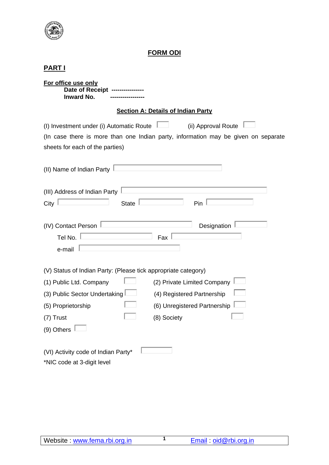

# **FORM ODI**

| For office use only<br>Date of Receipt -------<br><b>Inward No.</b>                                                                                                                                                     |  |  |  |  |  |
|-------------------------------------------------------------------------------------------------------------------------------------------------------------------------------------------------------------------------|--|--|--|--|--|
| <b>Section A: Details of Indian Party</b>                                                                                                                                                                               |  |  |  |  |  |
| (ii) Approval Route<br>(I) Investment under (i) Automatic Route<br>(In case there is more than one Indian party, information may be given on separate<br>sheets for each of the parties)                                |  |  |  |  |  |
| (II) Name of Indian Party                                                                                                                                                                                               |  |  |  |  |  |
| (III) Address of Indian Party<br>City<br><b>State</b><br>Pin                                                                                                                                                            |  |  |  |  |  |
| (IV) Contact Person<br>Designation<br>Tel No.<br>Fax<br>e-mail                                                                                                                                                          |  |  |  |  |  |
| (V) Status of Indian Party: (Please tick appropriate category)                                                                                                                                                          |  |  |  |  |  |
| (2) Private Limited Company<br>(1) Public Ltd. Company<br>(3) Public Sector Undertaking<br>(4) Registered Partnership<br>(6) Unregistered Partnership<br>(5) Proprietorship<br>(8) Society<br>$(7)$ Trust<br>(9) Others |  |  |  |  |  |
| (VI) Activity code of Indian Party*<br>*NIC code at 3-digit level                                                                                                                                                       |  |  |  |  |  |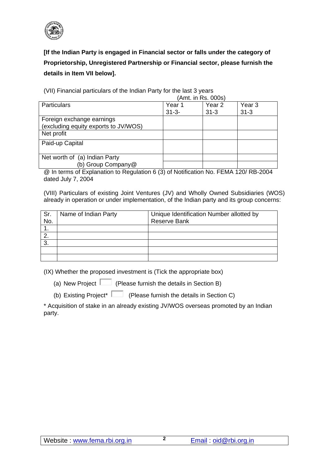

**[If the Indian Party is engaged in Financial sector or falls under the category of Proprietorship, Unregistered Partnership or Financial sector, please furnish the details in Item VII below].**

 (Amt. in Rs. 000s) Particulars Particulars Particulars Particulars Press, 1989. 31-3- Year 2 31-3 Year 3 31-3 Foreign exchange earnings (excluding equity exports to JV/WOS) Net profit Paid-up Capital Net worth of (a) Indian Party (b) Group Company@

(VII) Financial particulars of the Indian Party for the last 3 years

@ In terms of Explanation to Regulation 6 (3) of Notification No. FEMA 120/ RB-2004 dated July 7, 2004

(VIII) Particulars of existing Joint Ventures (JV) and Wholly Owned Subsidiaries (WOS) already in operation or under implementation, of the Indian party and its group concerns:

| Sr.<br>No. | Name of Indian Party | Unique Identification Number allotted by<br><b>Reserve Bank</b> |
|------------|----------------------|-----------------------------------------------------------------|
|            |                      |                                                                 |
|            |                      |                                                                 |
| З.         |                      |                                                                 |
|            |                      |                                                                 |
|            |                      |                                                                 |

(IX) Whether the proposed investment is (Tick the appropriate box)

(a) New Project  $\Box$  (Please furnish the details in Section B)

(b) Existing Project\*  $\Box$  (Please furnish the details in Section C)

\* Acquisition of stake in an already existing JV/WOS overseas promoted by an Indian party.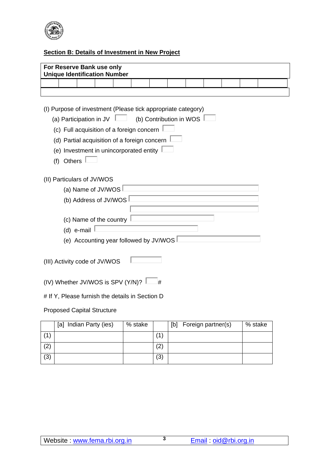

# **Section B: Details of Investment in New Project**

| For Reserve Bank use only<br><b>Unique Identification Number</b> |  |   |                         |  |        |  |
|------------------------------------------------------------------|--|---|-------------------------|--|--------|--|
|                                                                  |  |   |                         |  |        |  |
|                                                                  |  |   |                         |  |        |  |
| (I) Purpose of investment (Please tick appropriate category)     |  |   |                         |  |        |  |
| (a) Participation in JV $\perp$                                  |  |   | (b) Contribution in WOS |  |        |  |
| (c) Full acquisition of a foreign concern                        |  |   |                         |  |        |  |
| (d) Partial acquisition of a foreign concern                     |  |   |                         |  |        |  |
| (e) Investment in unincorporated entity                          |  |   |                         |  |        |  |
| (f) Others                                                       |  |   |                         |  |        |  |
|                                                                  |  |   |                         |  |        |  |
| (II) Particulars of JV/WOS                                       |  |   |                         |  |        |  |
| (a) Name of JV/WOS                                               |  |   |                         |  |        |  |
| (b) Address of JV/WOS                                            |  |   |                         |  |        |  |
|                                                                  |  |   |                         |  |        |  |
| (c) Name of the country                                          |  |   |                         |  |        |  |
| (d) e-mail                                                       |  |   |                         |  |        |  |
| (e) Accounting year followed by JV/WOS                           |  |   |                         |  |        |  |
| (III) Activity code of JV/WOS                                    |  |   |                         |  |        |  |
|                                                                  |  |   |                         |  |        |  |
| (IV) Whether JV/WOS is SPV (Y/N)?                                |  | # |                         |  |        |  |
| # If Y, Please furnish the details in Section D                  |  |   |                         |  |        |  |
| <b>Proposed Capital Structure</b>                                |  |   |                         |  |        |  |
|                                                                  |  |   |                         |  | $\sim$ |  |

|     | [a] Indian Party (ies) | % stake |     | [b] | Foreign partner(s) | % stake |
|-----|------------------------|---------|-----|-----|--------------------|---------|
| (1) |                        |         | -11 |     |                    |         |
| (2) |                        |         | (2) |     |                    |         |
| (3) |                        |         | (3) |     |                    |         |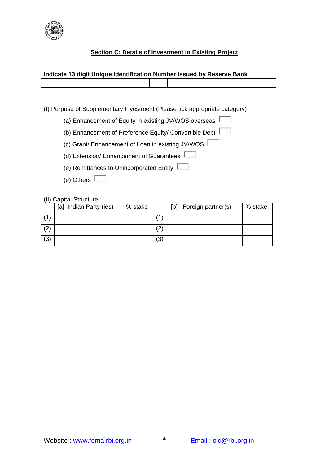

## **Section C: Details of Investment in Existing Project**

| Indicate 13 digit Unique Identification Number issued by Reserve Bank |  |  |  |  |  |  |  |  |  |  |
|-----------------------------------------------------------------------|--|--|--|--|--|--|--|--|--|--|
|                                                                       |  |  |  |  |  |  |  |  |  |  |
|                                                                       |  |  |  |  |  |  |  |  |  |  |

(I) Purpose of Supplementary Investment (Please tick appropriate category)

(a) Enhancement of Equity in existing JV/WOS overseas  $\Box$ 

- (b) Enhancement of Preference Equity/ Convertible Debt
- (c) Grant/ Enhancement of Loan in existing JV/WOS

(d) Extension/ Enhancement of Guarantees

- (e) Remittances to Unincorporated Entity
- (e) Others

#### (II) Capital Structure

|     | Indian Party (ies)<br> a | % stake |              | Foreign partner(s)<br>[b] | % stake |
|-----|--------------------------|---------|--------------|---------------------------|---------|
| 41  |                          |         | $\mathbf{1}$ |                           |         |
| (2) |                          |         | (2)          |                           |         |
| (3) |                          |         | (3)          |                           |         |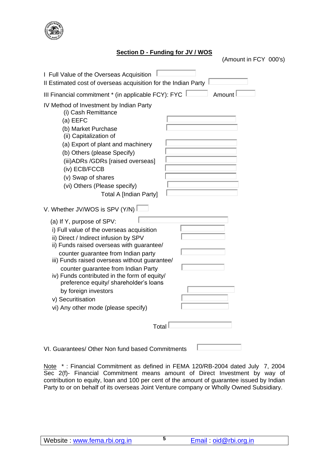

### **Section D - Funding for JV / WOS**

(Amount in FCY 000's)

| I Full Value of the Overseas Acquisition<br>Il Estimated cost of overseas acquisition for the Indian Party                                                                                                                                                                                                                                                                                                                                                                |
|---------------------------------------------------------------------------------------------------------------------------------------------------------------------------------------------------------------------------------------------------------------------------------------------------------------------------------------------------------------------------------------------------------------------------------------------------------------------------|
| Amount<br>III Financial commitment * (in applicable FCY): FYC                                                                                                                                                                                                                                                                                                                                                                                                             |
| IV Method of Investment by Indian Party<br>(i) Cash Remittance<br>(a) EEFC<br>(b) Market Purchase<br>(ii) Capitalization of<br>(a) Export of plant and machinery<br>(b) Others (please Specify)<br>(iii) ADRs / GDRs [raised overseas]<br>(iv) ECB/FCCB<br>(v) Swap of shares<br>(vi) Others (Please specify)<br><b>Total A [Indian Party]</b>                                                                                                                            |
| V. Whether JV/WOS is SPV (Y/N)                                                                                                                                                                                                                                                                                                                                                                                                                                            |
| (a) If Y, purpose of SPV:<br>i) Full value of the overseas acquisition<br>ii) Direct / Indirect infusion by SPV<br>ii) Funds raised overseas with guarantee/<br>counter guarantee from Indian party<br>iii) Funds raised overseas without guarantee/<br>counter guarantee from Indian Party<br>iv) Funds contributed in the form of equity/<br>preference equity/ shareholder's loans<br>by foreign investors<br>v) Securitisation<br>vi) Any other mode (please specify) |
| Total                                                                                                                                                                                                                                                                                                                                                                                                                                                                     |
|                                                                                                                                                                                                                                                                                                                                                                                                                                                                           |

VI. Guarantees/ Other Non fund based Commitments  $\perp$ 

Note \*: Financial Commitment as defined in FEMA 120/RB-2004 dated July 7, 2004 Sec 2(f)- Financial Commitment means amount of Direct Investment by way of contribution to equity, loan and 100 per cent of the amount of guarantee issued by Indian Party to or on behalf of its overseas Joint Venture company or Wholly Owned Subsidiary.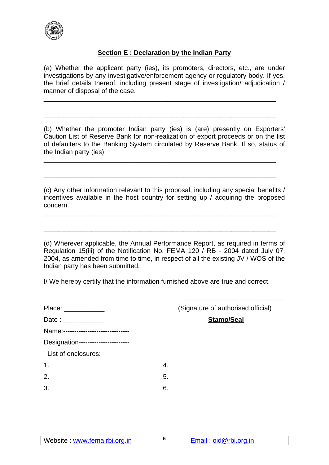

## **Section E : Declaration by the Indian Party**

(a) Whether the applicant party (ies), its promoters, directors, etc., are under investigations by any investigative/enforcement agency or regulatory body. If yes, the brief details thereof, including present stage of investigation/ adjudication / manner of disposal of the case.

\_\_\_\_\_\_\_\_\_\_\_\_\_\_\_\_\_\_\_\_\_\_\_\_\_\_\_\_\_\_\_\_\_\_\_\_\_\_\_\_\_\_\_\_\_\_\_\_\_\_\_\_\_\_\_\_\_\_\_\_\_\_\_

\_\_\_\_\_\_\_\_\_\_\_\_\_\_\_\_\_\_\_\_\_\_\_\_\_\_\_\_\_\_\_\_\_\_\_\_\_\_\_\_\_\_\_\_\_\_\_\_\_\_\_\_\_\_\_\_\_\_\_\_\_\_\_

\_\_\_\_\_\_\_\_\_\_\_\_\_\_\_\_\_\_\_\_\_\_\_\_\_\_\_\_\_\_\_\_\_\_\_\_\_\_\_\_\_\_\_\_\_\_\_\_\_\_\_\_\_\_\_\_\_\_\_\_\_\_\_

\_\_\_\_\_\_\_\_\_\_\_\_\_\_\_\_\_\_\_\_\_\_\_\_\_\_\_\_\_\_\_\_\_\_\_\_\_\_\_\_\_\_\_\_\_\_\_\_\_\_\_\_\_\_\_\_\_\_\_\_\_\_\_

\_\_\_\_\_\_\_\_\_\_\_\_\_\_\_\_\_\_\_\_\_\_\_\_\_\_\_\_\_\_\_\_\_\_\_\_\_\_\_\_\_\_\_\_\_\_\_\_\_\_\_\_\_\_\_\_\_\_\_\_\_\_\_

\_\_\_\_\_\_\_\_\_\_\_\_\_\_\_\_\_\_\_\_\_\_\_\_\_\_\_\_\_\_\_\_\_\_\_\_\_\_\_\_\_\_\_\_\_\_\_\_\_\_\_\_\_\_\_\_\_\_\_\_\_\_\_

(b) Whether the promoter Indian party (ies) is (are) presently on Exporters' Caution List of Reserve Bank for non-realization of export proceeds or on the list of defaulters to the Banking System circulated by Reserve Bank. If so, status of the Indian party (ies):

(c) Any other information relevant to this proposal, including any special benefits / incentives available in the host country for setting up / acquiring the proposed concern.

(d) Wherever applicable, the Annual Performance Report, as required in terms of Regulation 15(iii) of the Notification No. FEMA 120 / RB - 2004 dated July 07, 2004, as amended from time to time, in respect of all the existing JV / WOS of the Indian party has been submitted.

I/ We hereby certify that the information furnished above are true and correct.

| Place: ____________                 | (Signature of authorised official) |
|-------------------------------------|------------------------------------|
|                                     | <b>Stamp/Seal</b>                  |
| Name:------------------------------ |                                    |
| Designation-----------------------  |                                    |
| List of enclosures:                 |                                    |
| $\mathbf 1$                         | 4.                                 |
| 2.                                  | 5.                                 |
| 3.                                  | 6.                                 |
|                                     |                                    |

 $\frac{1}{\sqrt{2}}$  ,  $\frac{1}{\sqrt{2}}$  ,  $\frac{1}{\sqrt{2}}$  ,  $\frac{1}{\sqrt{2}}$  ,  $\frac{1}{\sqrt{2}}$  ,  $\frac{1}{\sqrt{2}}$  ,  $\frac{1}{\sqrt{2}}$  ,  $\frac{1}{\sqrt{2}}$  ,  $\frac{1}{\sqrt{2}}$  ,  $\frac{1}{\sqrt{2}}$  ,  $\frac{1}{\sqrt{2}}$  ,  $\frac{1}{\sqrt{2}}$  ,  $\frac{1}{\sqrt{2}}$  ,  $\frac{1}{\sqrt{2}}$  ,  $\frac{1}{\sqrt{2}}$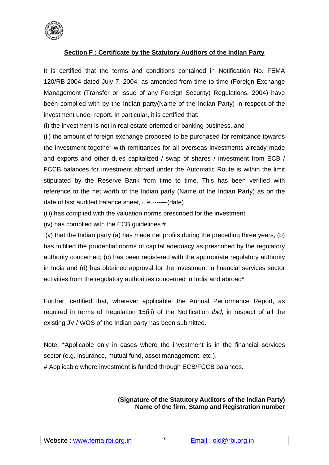

## **Section F : Certificate by the Statutory Auditors of the Indian Party**

It is certified that the terms and conditions contained in Notification No. FEMA 120/RB-2004 dated July 7, 2004, as amended from time to time (Foreign Exchange Management (Transfer or Issue of any Foreign Security) Regulations, 2004) have been complied with by the Indian party(Name of the Indian Party) in respect of the investment under report. In particular, it is certified that:

(i) the investment is not in real estate oriented or banking business, and

(ii) the amount of foreign exchange proposed to be purchased for remittance towards the investment together with remittances for all overseas investments already made and exports and other dues capitalized / swap of shares / investment from ECB / FCCB balances for investment abroad under the Automatic Route is within the limit stipulated by the Reserve Bank from time to time. This has been verified with reference to the net worth of the Indian party (Name of the Indian Party) as on the date of last audited balance sheet, i. e.-------(date)

- (iii) has complied with the valuation norms prescribed for the investment
- (iv) has complied with the ECB guidelines #

(v) that the Indian party (a) has made net profits during the preceding three years, (b) has fulfilled the prudential norms of capital adequacy as prescribed by the regulatory authority concerned; (c) has been registered with the appropriate regulatory authority in India and (d) has obtained approval for the investment in financial services sector activities from the regulatory authorities concerned in India and abroad\*.

Further, certified that, wherever applicable, the Annual Performance Report, as required in terms of Regulation 15(iii) of the Notification *ibid,* in respect of all the existing JV / WOS of the Indian party has been submitted.

Note: \*Applicable only in cases where the investment is in the financial services sector (e.g. insurance, mutual fund, asset management, etc.).

# Applicable where investment is funded through ECB/FCCB balances.

## (**Signature of the Statutory Auditors of the Indian Party) Name of the firm, Stamp and Registration number**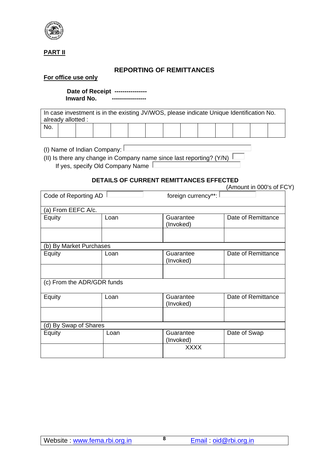

## **PART II**

## **REPORTING OF REMITTANCES**

#### **For office use only**

 **Date of Receipt ---------------- Inward No. -----------------**

In case investment is in the existing JV/WOS, please indicate Unique Identification No. already allotted : No.

(I) Name of Indian Company:  $\square$ 

(II) Is there any change in Company name since last reporting? (Y/N)  $\sqrt{ }$ If yes, specify Old Company Name

## **DETAILS OF CURRENT REMITTANCES EFFECTED**

|                            |      | DETAILS OF CONNENT NEMITTANCES EFFECTED | (Amount in 000's of FCY) |
|----------------------------|------|-----------------------------------------|--------------------------|
| Code of Reporting AD       |      | foreign currency**:                     |                          |
| (a) From EEFC A/c.         |      |                                         |                          |
| Equity                     | Loan | Guarantee<br>(Invoked)                  | Date of Remittance       |
|                            |      |                                         |                          |
| (b) By Market Purchases    |      |                                         |                          |
| Equity                     | Loan | Guarantee<br>(Invoked)                  | Date of Remittance       |
|                            |      |                                         |                          |
| (c) From the ADR/GDR funds |      |                                         |                          |
| Equity                     | Loan | Guarantee<br>(Invoked)                  | Date of Remittance       |
|                            |      |                                         |                          |
| (d) By Swap of Shares      |      |                                         |                          |
| Equity                     | Loan | Guarantee<br>(Invoked)                  | Date of Swap             |
|                            |      | <b>XXXX</b>                             |                          |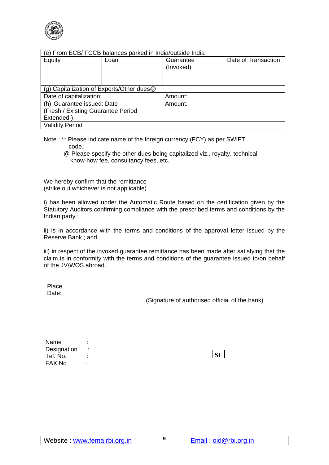

| (e) From ECB/FCCB balances parked in India/outside India |      |                        |                     |  |  |  |
|----------------------------------------------------------|------|------------------------|---------------------|--|--|--|
| Equity                                                   | Loan | Guarantee<br>(Invoked) | Date of Transaction |  |  |  |
|                                                          |      |                        |                     |  |  |  |
| (g) Capitalization of Exports/Other dues@                |      |                        |                     |  |  |  |
| Date of capitalization:                                  |      | Amount:                |                     |  |  |  |
| (h) Guarantee issued: Date                               |      | Amount:                |                     |  |  |  |
| (Fresh / Existing Guarantee Period                       |      |                        |                     |  |  |  |
| Extended                                                 |      |                        |                     |  |  |  |
| <b>Validity Period</b>                                   |      |                        |                     |  |  |  |

Note : \*\* Please indicate name of the foreign currency (FCY) as per SWIFT code.

@ Please specify the other dues being capitalized viz., royalty, technical know-how fee, consultancy fees, etc.

We hereby confirm that the remittance (strike out whichever is not applicable)

i) has been allowed under the Automatic Route based on the certification given by the Statutory Auditors confirming compliance with the prescribed terms and conditions by the Indian party ;

ii) is in accordance with the terms and conditions of the approval letter issued by the Reserve Bank ; and

iii) in respect of the invoked guarantee remittance has been made after satisfying that the claim is in conformity with the terms and conditions of the guarantee issued to/on behalf of the JV/WOS abroad.

Place Date:

(Signature of authorised official of the bank)

| Name        |  |
|-------------|--|
| Designation |  |
| Tel. No.    |  |
| FAX No      |  |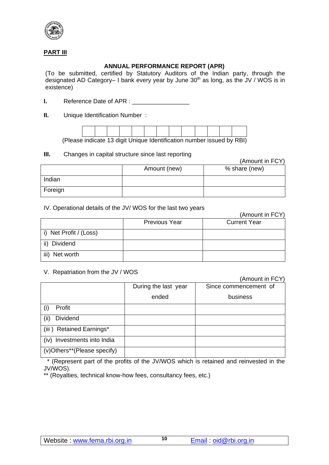

## **PART III**

## **ANNUAL PERFORMANCE REPORT (APR)**

(To be submitted, certified by Statutory Auditors of the Indian party, through the designated AD Category– I bank every year by June  $30<sup>th</sup>$  as long, as the JV / WOS is in existence)

**I.** Reference Date of APR :

**II.** Unique Identification Number :



(Please indicate 13 digit Unique Identification number issued by RBI)

### **III.** Changes in capital structure since last reporting

(Amount in FCY)

|         | Amount (new) | % share (new) |
|---------|--------------|---------------|
| Indian  |              |               |
| Foreign |              |               |

### IV. Operational details of the JV/ WOS for the last two years

|                        |                      | (Amount in FCY)     |
|------------------------|----------------------|---------------------|
|                        | <b>Previous Year</b> | <b>Current Year</b> |
| i) Net Profit / (Loss) |                      |                     |
| ii) Dividend           |                      |                     |
| iii)<br>Net worth      |                      |                     |

#### V. Repatriation from the JV / WOS

(Amount in FCY) During the last year ended Since commencement of business (i) Profit (ii) Dividend (iii ) Retained Earnings\* (iv) Investments into India (v)Others\*\*(Please specify)

 \* (Represent part of the profits of the JV/WOS which is retained and reinvested in the JV/WOS).

\*\* (Royalties, technical know-how fees, consultancy fees, etc.)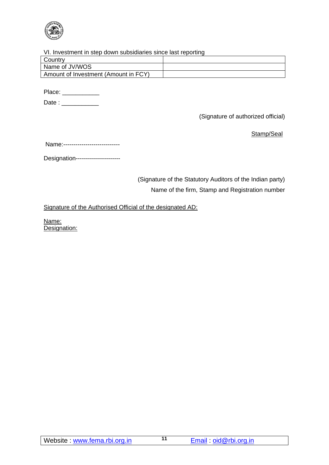

#### VI. Investment in step down subsidiaries since last reporting

| Country                              |  |
|--------------------------------------|--|
| Name of JV/WOS                       |  |
| Amount of Investment (Amount in FCY) |  |
|                                      |  |

Place: \_\_\_\_\_\_\_\_\_\_\_\_\_\_

Date : \_\_\_\_\_\_\_\_\_\_\_

(Signature of authorized official)

Stamp/Seal

Name:----------------------------

Designation----------------------

(Signature of the Statutory Auditors of the Indian party) Name of the firm, Stamp and Registration number

Signature of the Authorised Official of the designated AD:

Name: Designation: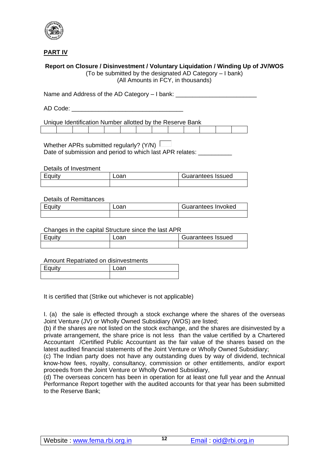

**PART IV**

### **Report on Closure / Disinvestment / Voluntary Liquidation / Winding Up of JV/WOS**

(To be submitted by the designated AD Category – I bank) (All Amounts in FCY, in thousands)

Name and Address of the AD Category - I bank: \_\_\_\_\_\_\_\_\_\_\_\_\_\_\_\_\_\_\_\_\_\_\_\_\_\_\_\_\_\_\_\_\_\_

AD Code:  $\blacksquare$ 

Unique Identification Number allotted by the Reserve Bank

Whether APRs submitted regularly? (Y/N) Date of submission and period to which last APR relates:

Details of Investment

| Equity | วan | Guarantees Issued |
|--------|-----|-------------------|
|        |     |                   |

#### Details of Remittances

| Equity | oar | Guarantees Invoked |
|--------|-----|--------------------|
|        |     |                    |

#### Changes in the capital Structure since the last APR

| Eauitv | Guarantees Issued |
|--------|-------------------|
|        |                   |

Amount Repatriated on disinvestments

| مقائد ومحا<br>. . | an |
|-------------------|----|
|                   |    |

It is certified that (Strike out whichever is not applicable)

I. (a) the sale is effected through a stock exchange where the shares of the overseas Joint Venture (JV) or Wholly Owned Subsidiary (WOS) are listed;

(b) if the shares are not listed on the stock exchange, and the shares are disinvested by a private arrangement, the share price is not less than the value certified by a Chartered Accountant /Certified Public Accountant as the fair value of the shares based on the latest audited financial statements of the Joint Venture or Wholly Owned Subsidiary;

(c) The Indian party does not have any outstanding dues by way of dividend, technical know-how fees, royalty, consultancy, commission or other entitlements, and/or export proceeds from the Joint Venture or Wholly Owned Subsidiary,

(d) The overseas concern has been in operation for at least one full year and the Annual Performance Report together with the audited accounts for that year has been submitted to the Reserve Bank;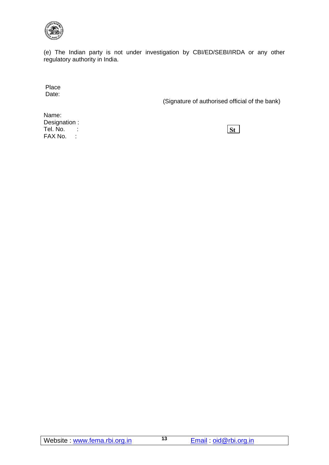

(e) The Indian party is not under investigation by CBI/ED/SEBI/IRDA or any other regulatory authority in India.

Place Date:

(Signature of authorised official of the bank)

Name: Designation : Tel. No. : FAX No. :

**St**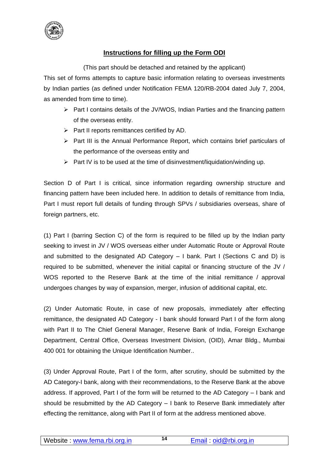

## **Instructions for filling up the Form ODI**

(This part should be detached and retained by the applicant)

This set of forms attempts to capture basic information relating to overseas investments by Indian parties (as defined under Notification FEMA 120/RB-2004 dated July 7, 2004, as amended from time to time).

- $\triangleright$  Part I contains details of the JV/WOS, Indian Parties and the financing pattern of the overseas entity.
- $\triangleright$  Part II reports remittances certified by AD.
- $\triangleright$  Part III is the Annual Performance Report, which contains brief particulars of the performance of the overseas entity and
- $\triangleright$  Part IV is to be used at the time of disinvestment/liquidation/winding up.

Section D of Part I is critical, since information regarding ownership structure and financing pattern have been included here. In addition to details of remittance from India, Part I must report full details of funding through SPVs / subsidiaries overseas, share of foreign partners, etc.

(1) Part I (barring Section C) of the form is required to be filled up by the Indian party seeking to invest in JV / WOS overseas either under Automatic Route or Approval Route and submitted to the designated AD Category – I bank. Part I (Sections C and D) is required to be submitted, whenever the initial capital or financing structure of the JV / WOS reported to the Reserve Bank at the time of the initial remittance / approval undergoes changes by way of expansion, merger, infusion of additional capital, etc.

(2) Under Automatic Route, in case of new proposals, immediately after effecting remittance, the designated AD Category - I bank should forward Part I of the form along with Part II to The Chief General Manager, Reserve Bank of India, Foreign Exchange Department, Central Office, Overseas Investment Division, (OID), Amar Bldg., Mumbai 400 001 for obtaining the Unique Identification Number..

(3) Under Approval Route, Part I of the form, after scrutiny, should be submitted by the AD Category-I bank, along with their recommendations, to the Reserve Bank at the above address. If approved, Part I of the form will be returned to the AD Category – I bank and should be resubmitted by the AD Category – I bank to Reserve Bank immediately after effecting the remittance, along with Part II of form at the address mentioned above.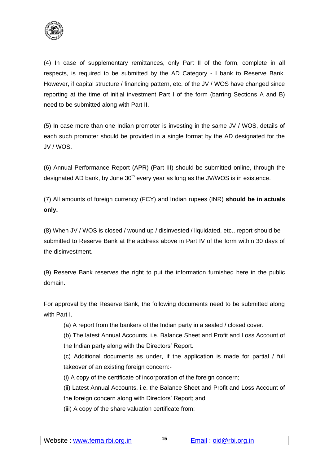

(4) In case of supplementary remittances, only Part II of the form, complete in all respects, is required to be submitted by the AD Category - I bank to Reserve Bank. However, if capital structure / financing pattern, etc. of the JV / WOS have changed since reporting at the time of initial investment Part I of the form (barring Sections A and B) need to be submitted along with Part II.

(5) In case more than one Indian promoter is investing in the same JV / WOS, details of each such promoter should be provided in a single format by the AD designated for the JV / WOS.

(6) Annual Performance Report (APR) (Part III) should be submitted online, through the designated AD bank, by June  $30<sup>th</sup>$  every year as long as the JV/WOS is in existence.

(7) All amounts of foreign currency (FCY) and Indian rupees (INR) **should be in actuals only.**

(8) When JV / WOS is closed / wound up / disinvested / liquidated, etc., report should be submitted to Reserve Bank at the address above in Part IV of the form within 30 days of the disinvestment.

(9) Reserve Bank reserves the right to put the information furnished here in the public domain.

For approval by the Reserve Bank, the following documents need to be submitted along with Part I.

(a) A report from the bankers of the Indian party in a sealed / closed cover.

(b) The latest Annual Accounts, i.e. Balance Sheet and Profit and Loss Account of the Indian party along with the Directors' Report.

(c) Additional documents as under, if the application is made for partial / full takeover of an existing foreign concern:-

(i) A copy of the certificate of incorporation of the foreign concern;

(ii) Latest Annual Accounts, i.e. the Balance Sheet and Profit and Loss Account of

the foreign concern along with Directors' Report; and

(iii) A copy of the share valuation certificate from: